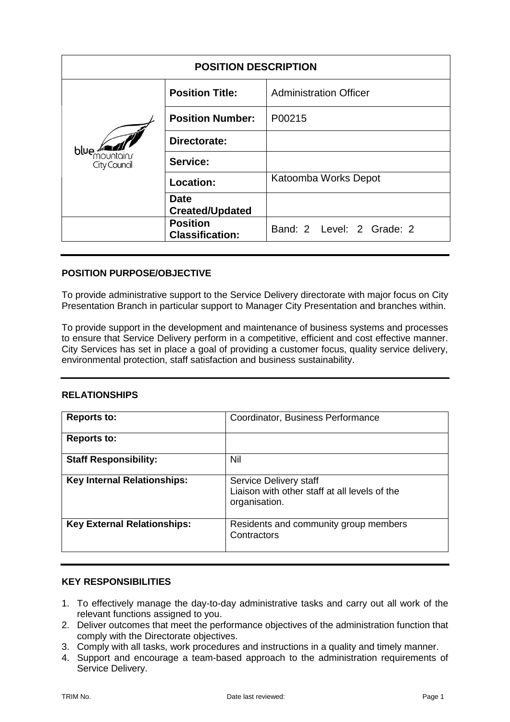| <b>POSITION DESCRIPTION</b>        |                                           |                               |
|------------------------------------|-------------------------------------------|-------------------------------|
| blue<br>mountain i<br>City Council | <b>Position Title:</b>                    | <b>Administration Officer</b> |
|                                    | <b>Position Number:</b>                   | P00215                        |
|                                    | Directorate:                              |                               |
|                                    | Service:                                  |                               |
|                                    | Location:                                 | Katoomba Works Depot          |
|                                    | <b>Date</b><br><b>Created/Updated</b>     |                               |
|                                    | <b>Position</b><br><b>Classification:</b> | Band: 2 Level: 2 Grade: 2     |

## **POSITION PURPOSE/OBJECTIVE**

To provide administrative support to the Service Delivery directorate with major focus on City Presentation Branch in particular support to Manager City Presentation and branches within.

To provide support in the development and maintenance of business systems and processes to ensure that Service Delivery perform in a competitive, efficient and cost effective manner. City Services has set in place a goal of providing a customer focus, quality service delivery, environmental protection, staff satisfaction and business sustainability.

#### **RELATIONSHIPS**

| <b>Reports to:</b>                 | Coordinator, Business Performance                                                        |
|------------------------------------|------------------------------------------------------------------------------------------|
| <b>Reports to:</b>                 |                                                                                          |
| <b>Staff Responsibility:</b>       | Nil                                                                                      |
| <b>Key Internal Relationships:</b> | Service Delivery staff<br>Liaison with other staff at all levels of the<br>organisation. |
| <b>Key External Relationships:</b> | Residents and community group members<br>Contractors                                     |

## **KEY RESPONSIBILITIES**

- 1. To effectively manage the day-to-day administrative tasks and carry out all work of the relevant functions assigned to you.
- 2. Deliver outcomes that meet the performance objectives of the administration function that comply with the Directorate objectives.
- 3. Comply with all tasks, work procedures and instructions in a quality and timely manner.
- 4. Support and encourage a team-based approach to the administration requirements of Service Delivery.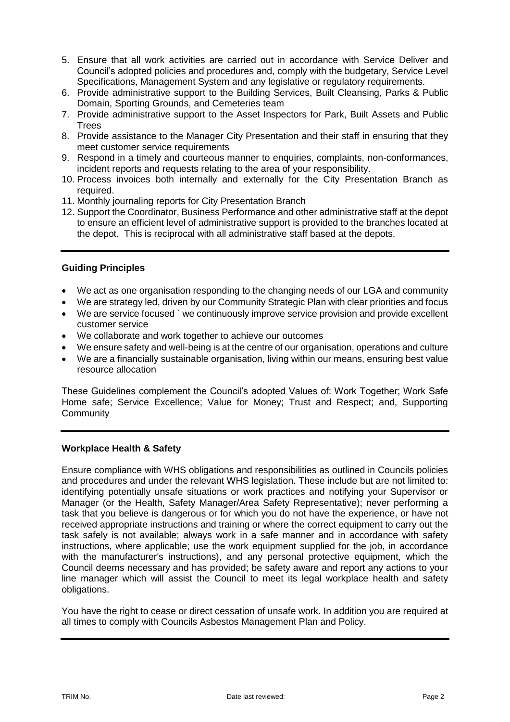- 5. Ensure that all work activities are carried out in accordance with Service Deliver and Council's adopted policies and procedures and, comply with the budgetary, Service Level Specifications, Management System and any legislative or regulatory requirements.
- 6. Provide administrative support to the Building Services, Built Cleansing, Parks & Public Domain, Sporting Grounds, and Cemeteries team
- 7. Provide administrative support to the Asset Inspectors for Park, Built Assets and Public **Trees**
- 8. Provide assistance to the Manager City Presentation and their staff in ensuring that they meet customer service requirements
- 9. Respond in a timely and courteous manner to enquiries, complaints, non-conformances, incident reports and requests relating to the area of your responsibility.
- 10. Process invoices both internally and externally for the City Presentation Branch as required.
- 11. Monthly journaling reports for City Presentation Branch
- 12. Support the Coordinator, Business Performance and other administrative staff at the depot to ensure an efficient level of administrative support is provided to the branches located at the depot. This is reciprocal with all administrative staff based at the depots.

## **Guiding Principles**

- We act as one organisation responding to the changing needs of our LGA and community
- We are strategy led, driven by our Community Strategic Plan with clear priorities and focus
- We are service focused ` we continuously improve service provision and provide excellent customer service
- We collaborate and work together to achieve our outcomes
- We ensure safety and well-being is at the centre of our organisation, operations and culture
- We are a financially sustainable organisation, living within our means, ensuring best value resource allocation

These Guidelines complement the Council's adopted Values of: Work Together; Work Safe Home safe; Service Excellence; Value for Money; Trust and Respect; and, Supporting **Community** 

#### **Workplace Health & Safety**

Ensure compliance with WHS obligations and responsibilities as outlined in Councils policies and procedures and under the relevant WHS legislation. These include but are not limited to: identifying potentially unsafe situations or work practices and notifying your Supervisor or Manager (or the Health, Safety Manager/Area Safety Representative); never performing a task that you believe is dangerous or for which you do not have the experience, or have not received appropriate instructions and training or where the correct equipment to carry out the task safely is not available; always work in a safe manner and in accordance with safety instructions, where applicable; use the work equipment supplied for the job, in accordance with the manufacturer's instructions), and any personal protective equipment, which the Council deems necessary and has provided; be safety aware and report any actions to your line manager which will assist the Council to meet its legal workplace health and safety obligations.

You have the right to cease or direct cessation of unsafe work. In addition you are required at all times to comply with Councils Asbestos Management Plan and Policy.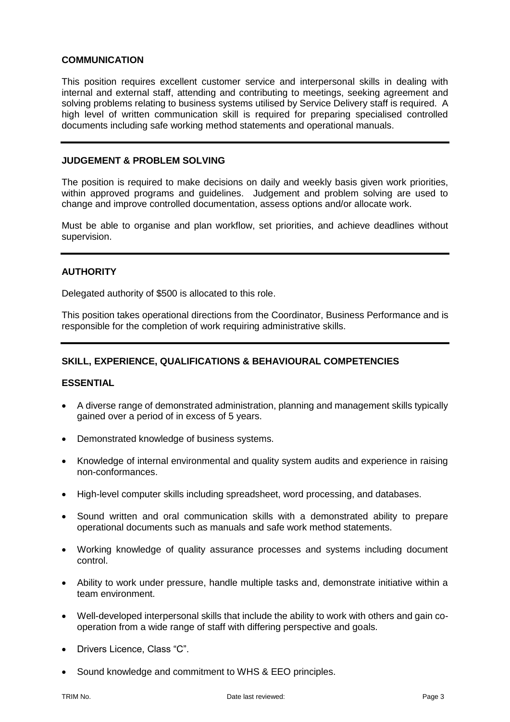## **COMMUNICATION**

This position requires excellent customer service and interpersonal skills in dealing with internal and external staff, attending and contributing to meetings, seeking agreement and solving problems relating to business systems utilised by Service Delivery staff is required. A high level of written communication skill is required for preparing specialised controlled documents including safe working method statements and operational manuals.

#### **JUDGEMENT & PROBLEM SOLVING**

The position is required to make decisions on daily and weekly basis given work priorities, within approved programs and guidelines. Judgement and problem solving are used to change and improve controlled documentation, assess options and/or allocate work.

Must be able to organise and plan workflow, set priorities, and achieve deadlines without supervision.

## **AUTHORITY**

Delegated authority of \$500 is allocated to this role.

This position takes operational directions from the Coordinator, Business Performance and is responsible for the completion of work requiring administrative skills.

## **SKILL, EXPERIENCE, QUALIFICATIONS & BEHAVIOURAL COMPETENCIES**

#### **ESSENTIAL**

- A diverse range of demonstrated administration, planning and management skills typically gained over a period of in excess of 5 years.
- Demonstrated knowledge of business systems.
- Knowledge of internal environmental and quality system audits and experience in raising non-conformances.
- High-level computer skills including spreadsheet, word processing, and databases.
- Sound written and oral communication skills with a demonstrated ability to prepare operational documents such as manuals and safe work method statements.
- Working knowledge of quality assurance processes and systems including document control.
- Ability to work under pressure, handle multiple tasks and, demonstrate initiative within a team environment.
- Well-developed interpersonal skills that include the ability to work with others and gain cooperation from a wide range of staff with differing perspective and goals.
- Drivers Licence, Class "C".
- Sound knowledge and commitment to WHS & EEO principles.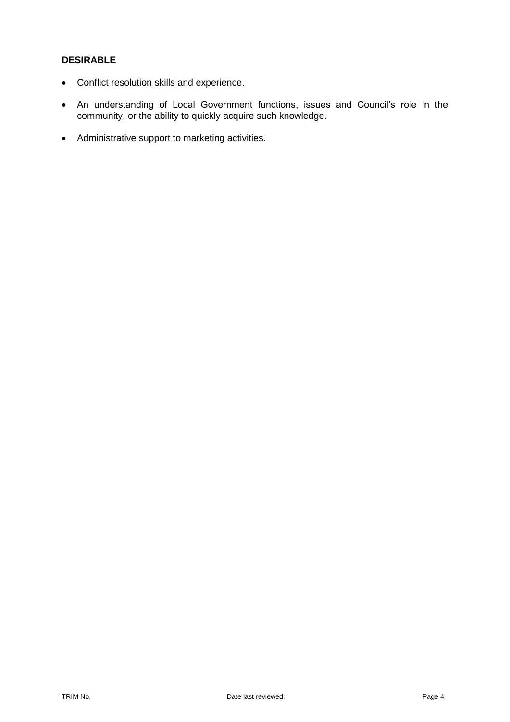## **DESIRABLE**

- Conflict resolution skills and experience.
- An understanding of Local Government functions, issues and Council's role in the community, or the ability to quickly acquire such knowledge.
- Administrative support to marketing activities.